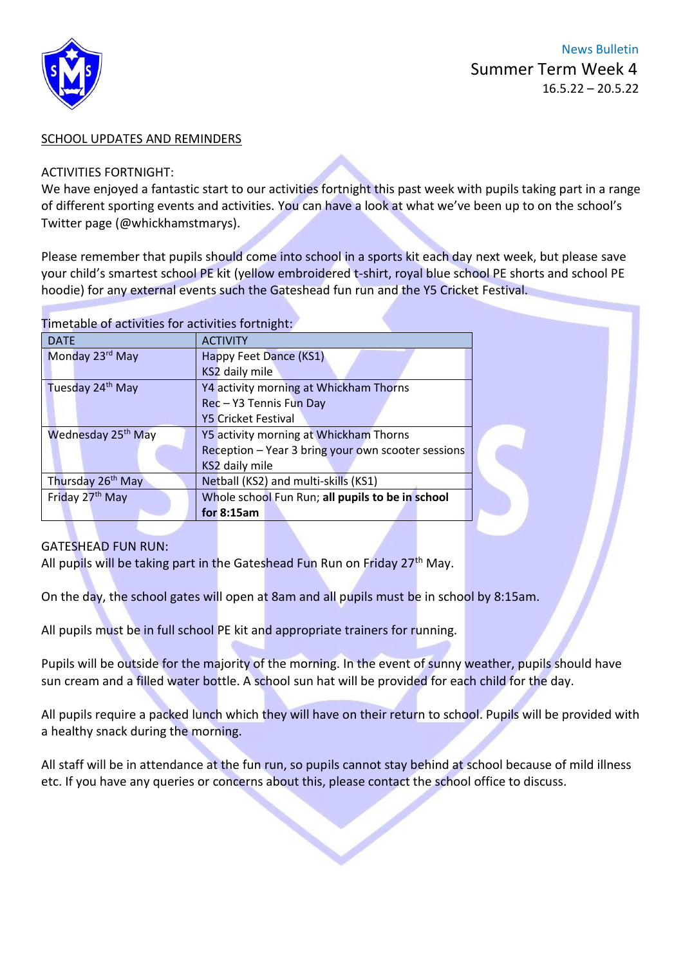

#### SCHOOL UPDATES AND REMINDERS

#### ACTIVITIES FORTNIGHT:

We have enjoyed a fantastic start to our activities fortnight this past week with pupils taking part in a range of different sporting events and activities. You can have a look at what we've been up to on the school's Twitter page (@whickhamstmarys).

Please remember that pupils should come into school in a sports kit each day next week, but please save your child's smartest school PE kit (yellow embroidered t-shirt, royal blue school PE shorts and school PE hoodie) for any external events such the Gateshead fun run and the Y5 Cricket Festival.

#### Timetable of activities for activities fortnight:

| <b>DATE</b>                    | <b>ACTIVITY</b>                                    |
|--------------------------------|----------------------------------------------------|
| Monday 23rd May                | Happy Feet Dance (KS1)                             |
|                                | KS2 daily mile                                     |
| Tuesday 24th May               | Y4 activity morning at Whickham Thorns             |
|                                | Rec - Y3 Tennis Fun Day                            |
|                                | <b>Y5 Cricket Festival</b>                         |
| Wednesday 25 <sup>th</sup> May | Y5 activity morning at Whickham Thorns             |
|                                | Reception - Year 3 bring your own scooter sessions |
|                                | KS2 daily mile                                     |
| Thursday 26 <sup>th</sup> May  | Netball (KS2) and multi-skills (KS1)               |
| Friday 27th May                | Whole school Fun Run; all pupils to be in school   |
|                                | for 8:15am                                         |

## GATESHEAD FUN RUN:

All pupils will be taking part in the Gateshead Fun Run on Friday 27<sup>th</sup> May.

On the day, the school gates will open at 8am and all pupils must be in school by 8:15am.

All pupils must be in full school PE kit and appropriate trainers for running.

Pupils will be outside for the majority of the morning. In the event of sunny weather, pupils should have sun cream and a filled water bottle. A school sun hat will be provided for each child for the day.

All pupils require a packed lunch which they will have on their return to school. Pupils will be provided with a healthy snack during the morning.

All staff will be in attendance at the fun run, so pupils cannot stay behind at school because of mild illness etc. If you have any queries or concerns about this, please contact the school office to discuss.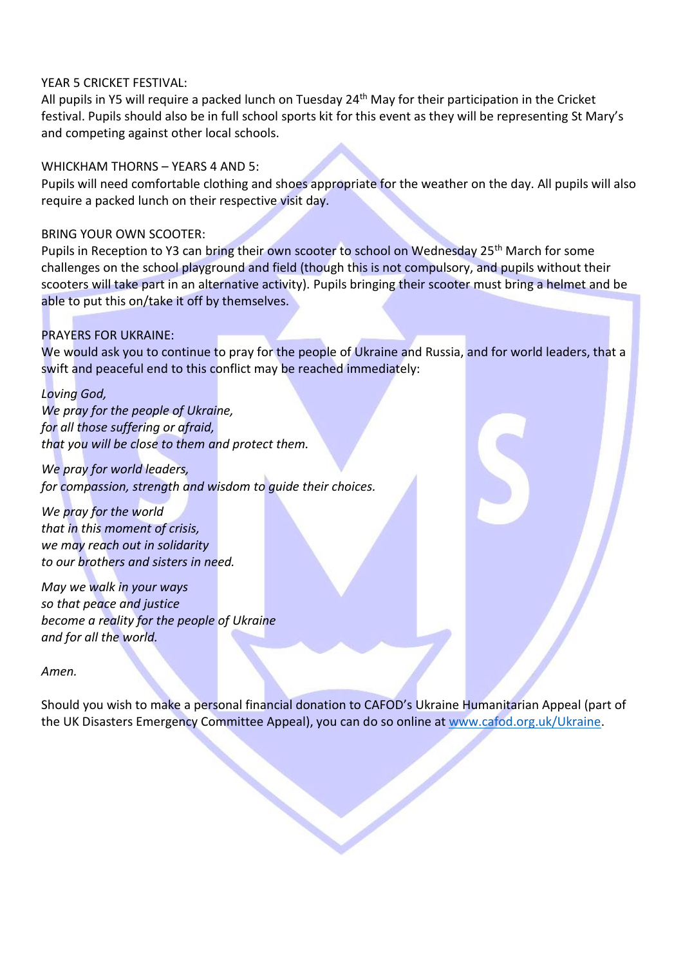## YEAR 5 CRICKET FESTIVAL:

All pupils in Y5 will require a packed lunch on Tuesday 24th May for their participation in the Cricket festival. Pupils should also be in full school sports kit for this event as they will be representing St Mary's and competing against other local schools.

## WHICKHAM THORNS – YEARS 4 AND 5:

Pupils will need comfortable clothing and shoes appropriate for the weather on the day. All pupils will also require a packed lunch on their respective visit day.

## BRING YOUR OWN SCOOTER:

Pupils in Reception to Y3 can bring their own scooter to school on Wednesday 25<sup>th</sup> March for some challenges on the school playground and field (though this is not compulsory, and pupils without their scooters will take part in an alternative activity). Pupils bringing their scooter must bring a helmet and be able to put this on/take it off by themselves.

# PRAYERS FOR UKRAINE:

We would ask you to continue to pray for the people of Ukraine and Russia, and for world leaders, that a swift and peaceful end to this conflict may be reached immediately:

*Loving God, We pray for the people of Ukraine, for all those suffering or afraid, that you will be close to them and protect them.*

*We pray for world leaders, for compassion, strength and wisdom to guide their choices.*

*We pray for the world that in this moment of crisis, we may reach out in solidarity to our brothers and sisters in need.*

*May we walk in your ways so that peace and justice become a reality for the people of Ukraine and for all the world.*

*Amen.*

Should you wish to make a personal financial donation to CAFOD's Ukraine Humanitarian Appeal (part of the UK Disasters Emergency Committee Appeal), you can do so online at [www.cafod.org.uk/Ukraine.](http://www.cafod.org.uk/Ukraine)